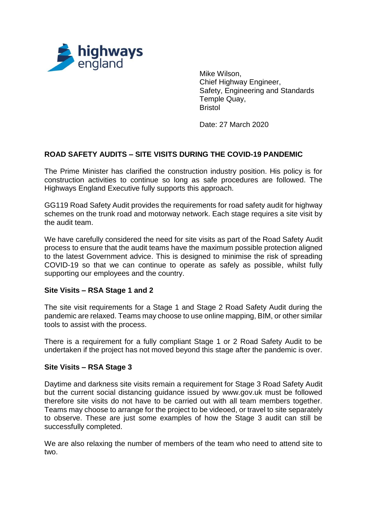

Mike Wilson, Chief Highway Engineer, Safety, Engineering and Standards Temple Quay, Bristol

Date: 27 March 2020

# **ROAD SAFETY AUDITS – SITE VISITS DURING THE COVID-19 PANDEMIC**

The Prime Minister has clarified the construction industry position. His policy is for construction activities to continue so long as safe procedures are followed. The Highways England Executive fully supports this approach.

GG119 Road Safety Audit provides the requirements for road safety audit for highway schemes on the trunk road and motorway network. Each stage requires a site visit by the audit team.

We have carefully considered the need for site visits as part of the Road Safety Audit process to ensure that the audit teams have the maximum possible protection aligned to the latest Government advice. This is designed to minimise the risk of spreading COVID-19 so that we can continue to operate as safely as possible, whilst fully supporting our employees and the country.

### **Site Visits – RSA Stage 1 and 2**

The site visit requirements for a Stage 1 and Stage 2 Road Safety Audit during the pandemic are relaxed. Teams may choose to use online mapping, BIM, or other similar tools to assist with the process.

There is a requirement for a fully compliant Stage 1 or 2 Road Safety Audit to be undertaken if the project has not moved beyond this stage after the pandemic is over.

#### **Site Visits – RSA Stage 3**

Daytime and darkness site visits remain a requirement for Stage 3 Road Safety Audit but the current social distancing guidance issued by www.gov.uk must be followed therefore site visits do not have to be carried out with all team members together. Teams may choose to arrange for the project to be videoed, or travel to site separately to observe. These are just some examples of how the Stage 3 audit can still be successfully completed.

We are also relaxing the number of members of the team who need to attend site to two.